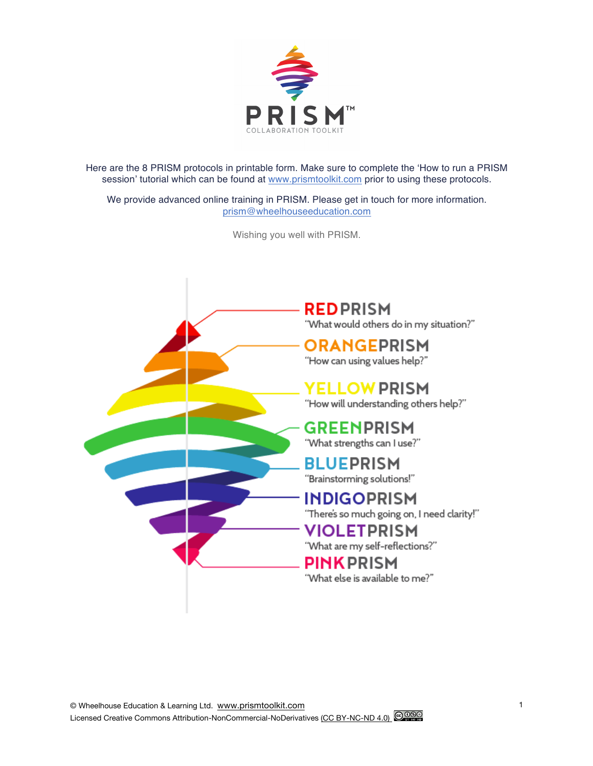

Here are the 8 PRISM protocols in printable form. Make sure to complete the 'How to run a PRISM session' tutorial which can be found at www.prismtoolkit.com prior to using these protocols.

We provide advanced online training in PRISM. Please get in touch for more information. prism@wheelhouseeducation.com

Wishing you well with PRISM.

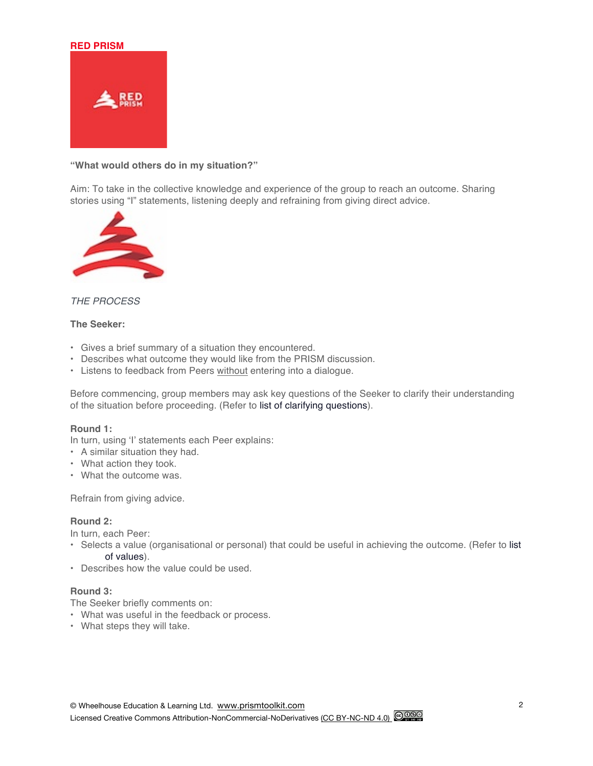#### **RED PRISM**



## **"What would others do in my situation?"**

Aim: To take in the collective knowledge and experience of the group to reach an outcome. Sharing stories using "I" statements, listening deeply and refraining from giving direct advice.



## *THE PROCESS*

### **The Seeker:**

- Gives a brief summary of a situation they encountered.
- Describes what outcome they would like from the PRISM discussion.
- Listens to feedback from Peers without entering into a dialogue.

Before commencing, group members may ask key questions of the Seeker to clarify their understanding of the situation before proceeding. (Refer to list of clarifying questions).

#### **Round 1:**

In turn, using 'I' statements each Peer explains:

- A similar situation they had.
- What action they took.
- What the outcome was.

Refrain from giving advice.

## **Round 2:**

In turn, each Peer:

- Selects a value (organisational or personal) that could be useful in achieving the outcome. (Refer to list of values).
- Describes how the value could be used.

# **Round 3:**

The Seeker briefly comments on:

- What was useful in the feedback or process.
- What steps they will take.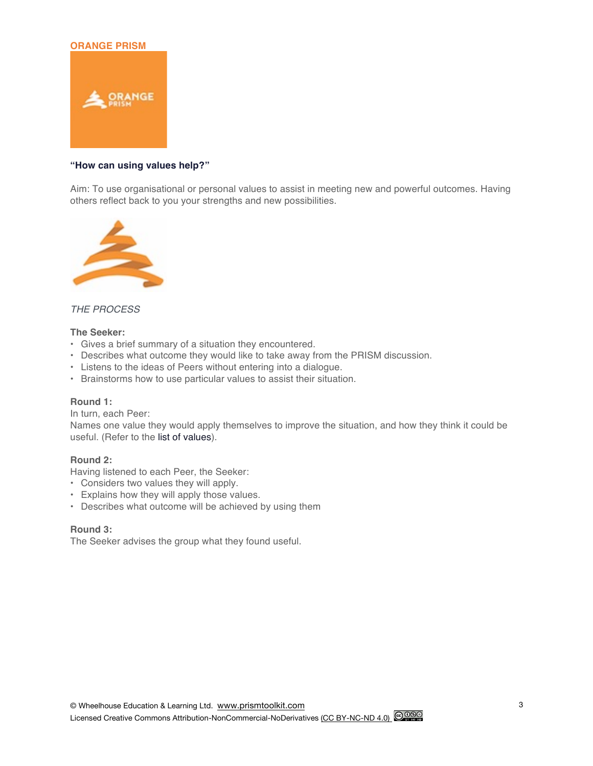### **ORANGE PRISM**



## **"How can using values help?"**

Aim: To use organisational or personal values to assist in meeting new and powerful outcomes. Having others reflect back to you your strengths and new possibilities.



# *THE PROCESS*

#### **The Seeker:**

- Gives a brief summary of a situation they encountered.
- Describes what outcome they would like to take away from the PRISM discussion.
- Listens to the ideas of Peers without entering into a dialogue.
- Brainstorms how to use particular values to assist their situation.

#### **Round 1:**

In turn, each Peer:

Names one value they would apply themselves to improve the situation, and how they think it could be useful. (Refer to the list of values).

#### **Round 2:**

Having listened to each Peer, the Seeker:

- Considers two values they will apply.
- Explains how they will apply those values.
- Describes what outcome will be achieved by using them

#### **Round 3:**

The Seeker advises the group what they found useful.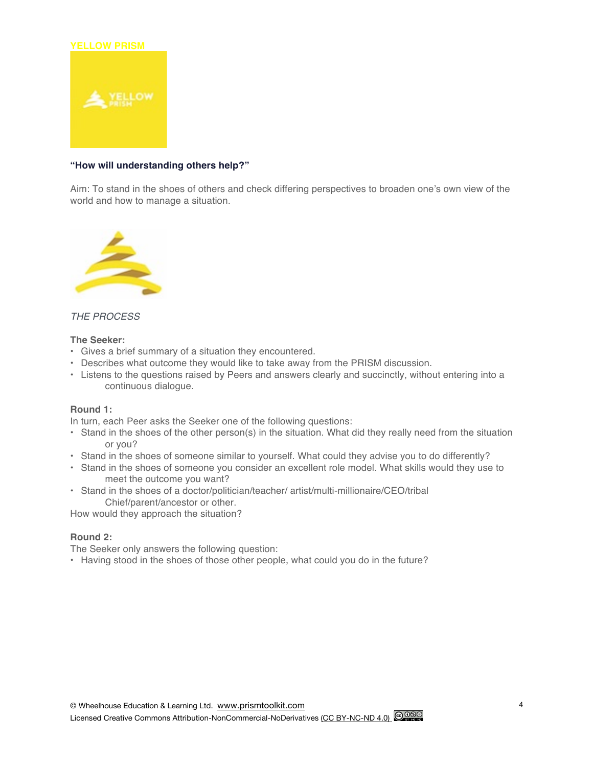## **YELLOW PRISM**



## **"How will understanding others help?"**

Aim: To stand in the shoes of others and check differing perspectives to broaden one's own view of the world and how to manage a situation.



## *THE PROCESS*

### **The Seeker:**

- Gives a brief summary of a situation they encountered.
- Describes what outcome they would like to take away from the PRISM discussion.
- Listens to the questions raised by Peers and answers clearly and succinctly, without entering into a continuous dialogue.

## **Round 1:**

In turn, each Peer asks the Seeker one of the following questions:

- Stand in the shoes of the other person(s) in the situation. What did they really need from the situation or you?
- Stand in the shoes of someone similar to yourself. What could they advise you to do differently?
- Stand in the shoes of someone you consider an excellent role model. What skills would they use to meet the outcome you want?
- Stand in the shoes of a doctor/politician/teacher/ artist/multi-millionaire/CEO/tribal Chief/parent/ancestor or other.

How would they approach the situation?

## **Round 2:**

The Seeker only answers the following question:

• Having stood in the shoes of those other people, what could you do in the future?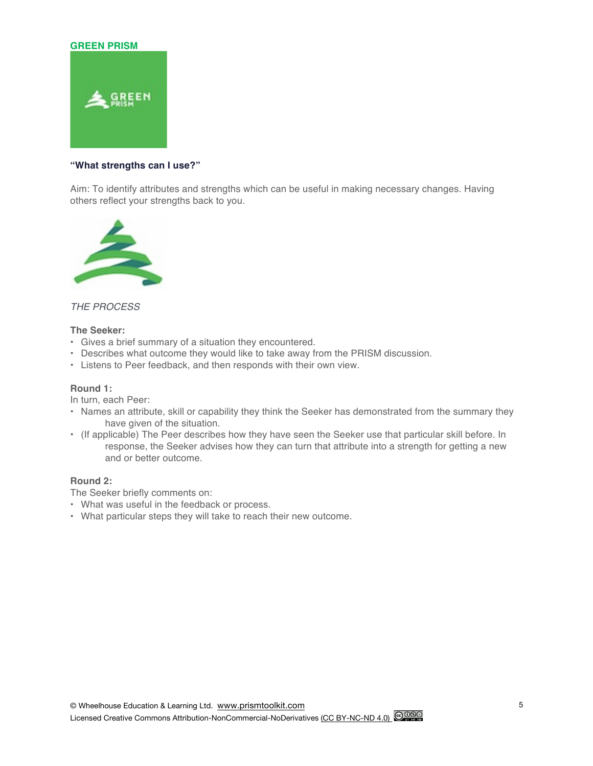#### **GREEN PRISM**



## **"What strengths can I use?"**

Aim: To identify attributes and strengths which can be useful in making necessary changes. Having others reflect your strengths back to you.



## *THE PROCESS*

## **The Seeker:**

- Gives a brief summary of a situation they encountered.
- Describes what outcome they would like to take away from the PRISM discussion.
- Listens to Peer feedback, and then responds with their own view.

### **Round 1:**

In turn, each Peer:

- Names an attribute, skill or capability they think the Seeker has demonstrated from the summary they have given of the situation.
- (If applicable) The Peer describes how they have seen the Seeker use that particular skill before. In response, the Seeker advises how they can turn that attribute into a strength for getting a new and or better outcome.

## **Round 2:**

The Seeker briefly comments on:

- What was useful in the feedback or process.
- What particular steps they will take to reach their new outcome.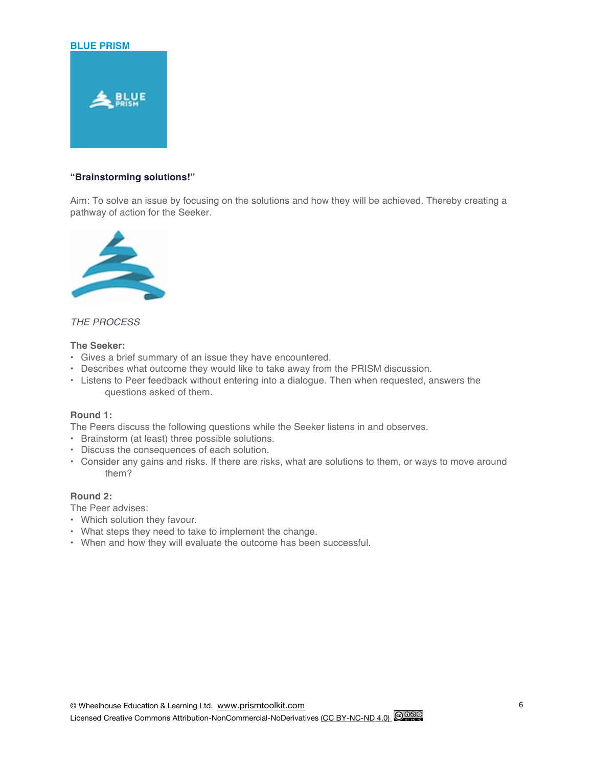### **BLUE PRISM**



## **"Brainstorming solutions!"**

Aim: To solve an issue by focusing on the solutions and how they will be achieved. Thereby creating a pathway of action for the Seeker.



## *THE PROCESS*

## **The Seeker:**

- Gives a brief summary of an issue they have encountered.
- Describes what outcome they would like to take away from the PRISM discussion.
- Listens to Peer feedback without entering into a dialogue. Then when requested, answers the questions asked of them.

## **Round 1:**

The Peers discuss the following questions while the Seeker listens in and observes.

- Brainstorm (at least) three possible solutions.
- Discuss the consequences of each solution.
- Consider any gains and risks. If there are risks, what are solutions to them, or ways to move around them?

## **Round 2:**

The Peer advises:

- Which solution they favour.
- What steps they need to take to implement the change.
- When and how they will evaluate the outcome has been successful.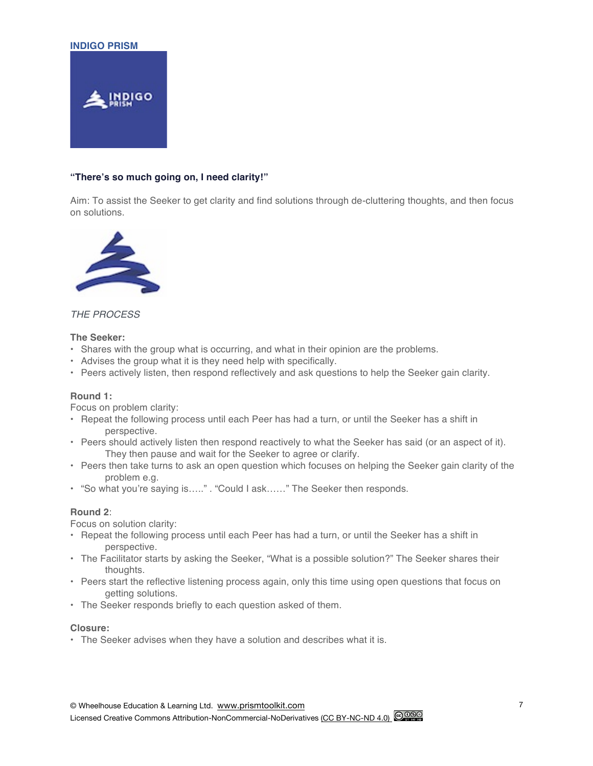#### **INDIGO PRISM**



# **"There's so much going on, I need clarity!"**

Aim: To assist the Seeker to get clarity and find solutions through de-cluttering thoughts, and then focus on solutions.



# *THE PROCESS*

## **The Seeker:**

- Shares with the group what is occurring, and what in their opinion are the problems.
- Advises the group what it is they need help with specifically.
- Peers actively listen, then respond reflectively and ask questions to help the Seeker gain clarity.

## **Round 1:**

Focus on problem clarity:

- Repeat the following process until each Peer has had a turn, or until the Seeker has a shift in perspective.
- Peers should actively listen then respond reactively to what the Seeker has said (or an aspect of it). They then pause and wait for the Seeker to agree or clarify.
- Peers then take turns to ask an open question which focuses on helping the Seeker gain clarity of the problem e.g.
- "So what you're saying is….." . "Could I ask……" The Seeker then responds.

## **Round 2**:

Focus on solution clarity:

- Repeat the following process until each Peer has had a turn, or until the Seeker has a shift in perspective.
- The Facilitator starts by asking the Seeker, "What is a possible solution?" The Seeker shares their thoughts.
- Peers start the reflective listening process again, only this time using open questions that focus on getting solutions.
- The Seeker responds briefly to each question asked of them.

## **Closure:**

• The Seeker advises when they have a solution and describes what it is.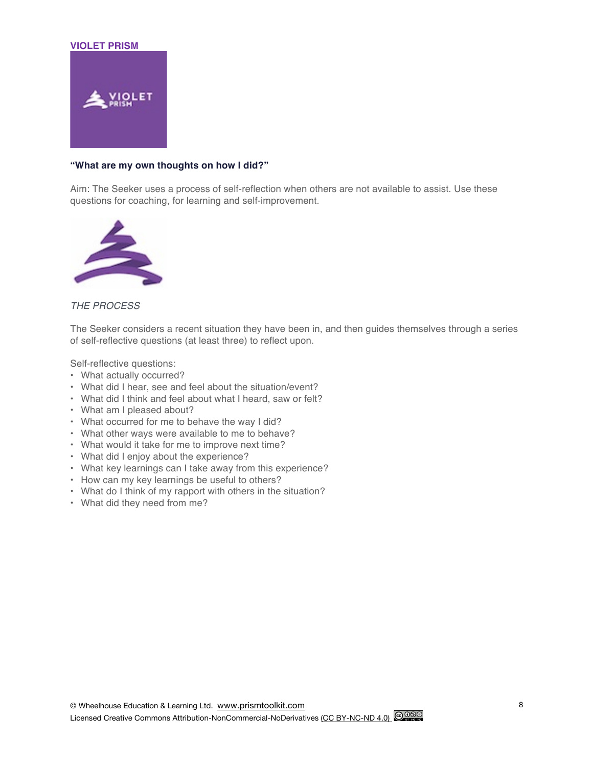#### **VIOLET PRISM**



#### **"What are my own thoughts on how I did?"**

Aim: The Seeker uses a process of self-reflection when others are not available to assist. Use these questions for coaching, for learning and self-improvement.



*THE PROCESS*

The Seeker considers a recent situation they have been in, and then guides themselves through a series of self-reflective questions (at least three) to reflect upon.

Self-reflective questions:

- What actually occurred?
- What did I hear, see and feel about the situation/event?
- What did I think and feel about what I heard, saw or felt?
- What am I pleased about?
- What occurred for me to behave the way I did?
- What other ways were available to me to behave?
- What would it take for me to improve next time?
- What did I enjoy about the experience?
- What key learnings can I take away from this experience?
- How can my key learnings be useful to others?
- What do I think of my rapport with others in the situation?
- What did they need from me?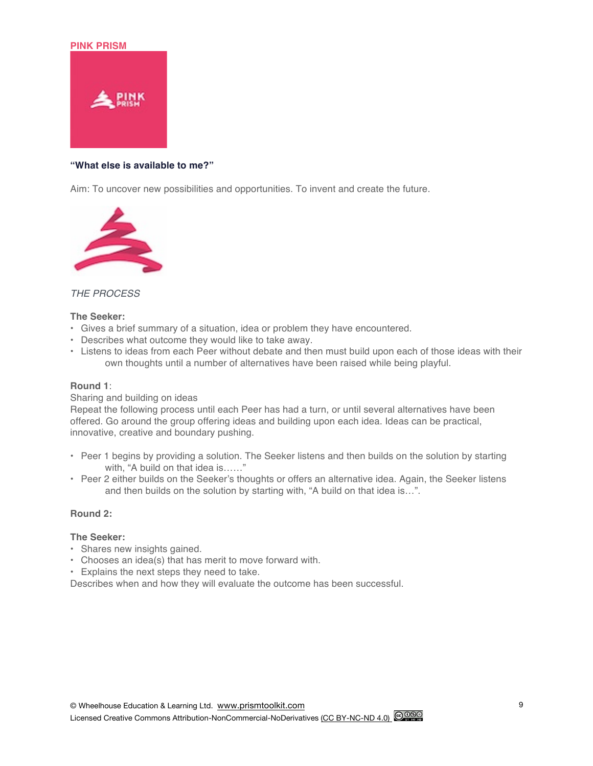#### **PINK PRISM**



## **"What else is available to me?"**

Aim: To uncover new possibilities and opportunities. To invent and create the future.



## *THE PROCESS*

#### **The Seeker:**

- Gives a brief summary of a situation, idea or problem they have encountered.
- Describes what outcome they would like to take away.
- Listens to ideas from each Peer without debate and then must build upon each of those ideas with their own thoughts until a number of alternatives have been raised while being playful.

#### **Round 1**:

#### Sharing and building on ideas

Repeat the following process until each Peer has had a turn, or until several alternatives have been offered. Go around the group offering ideas and building upon each idea. Ideas can be practical, innovative, creative and boundary pushing.

- Peer 1 begins by providing a solution. The Seeker listens and then builds on the solution by starting with, "A build on that idea is……"
- Peer 2 either builds on the Seeker's thoughts or offers an alternative idea. Again, the Seeker listens and then builds on the solution by starting with, "A build on that idea is…".

## **Round 2:**

### **The Seeker:**

- Shares new insights gained.
- Chooses an idea(s) that has merit to move forward with.
- Explains the next steps they need to take.

Describes when and how they will evaluate the outcome has been successful.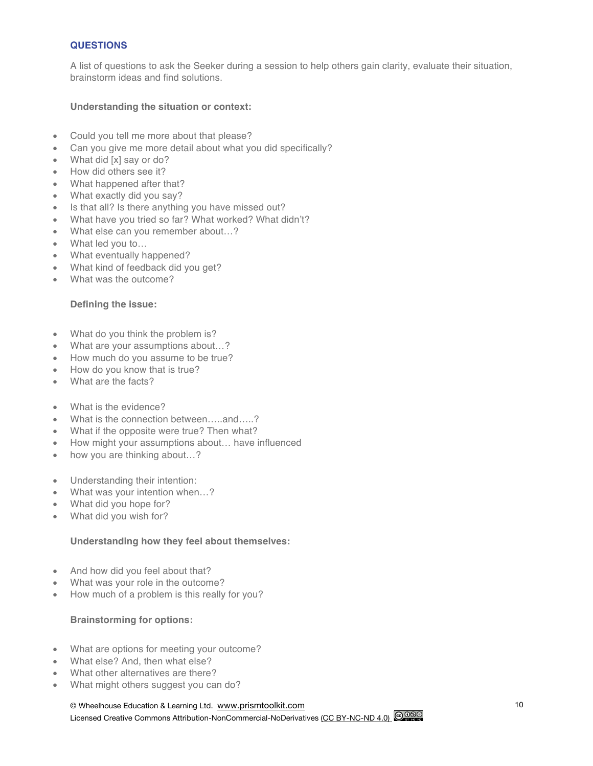# **QUESTIONS**

A list of questions to ask the Seeker during a session to help others gain clarity, evaluate their situation, brainstorm ideas and find solutions.

## **Understanding the situation or context:**

- Could you tell me more about that please?
- Can you give me more detail about what you did specifically?
- What did [x] say or do?
- How did others see it?
- What happened after that?
- What exactly did you say?
- Is that all? Is there anything you have missed out?
- What have you tried so far? What worked? What didn't?
- What else can you remember about...?
- What led you to...
- What eventually happened?
- What kind of feedback did you get?
- What was the outcome?

## **Defining the issue:**

- What do you think the problem is?
- What are your assumptions about…?
- How much do you assume to be true?
- How do you know that is true?
- What are the facts?
- What is the evidence?
- What is the connection between…..and…..?
- What if the opposite were true? Then what?
- How might your assumptions about… have influenced
- how you are thinking about...?
- Understanding their intention:
- What was your intention when...?
- What did you hope for?
- What did you wish for?

## **Understanding how they feel about themselves:**

- And how did you feel about that?
- What was your role in the outcome?
- How much of a problem is this really for you?

# **Brainstorming for options:**

- What are options for meeting your outcome?
- What else? And, then what else?
- What other alternatives are there?
- What might others suggest you can do?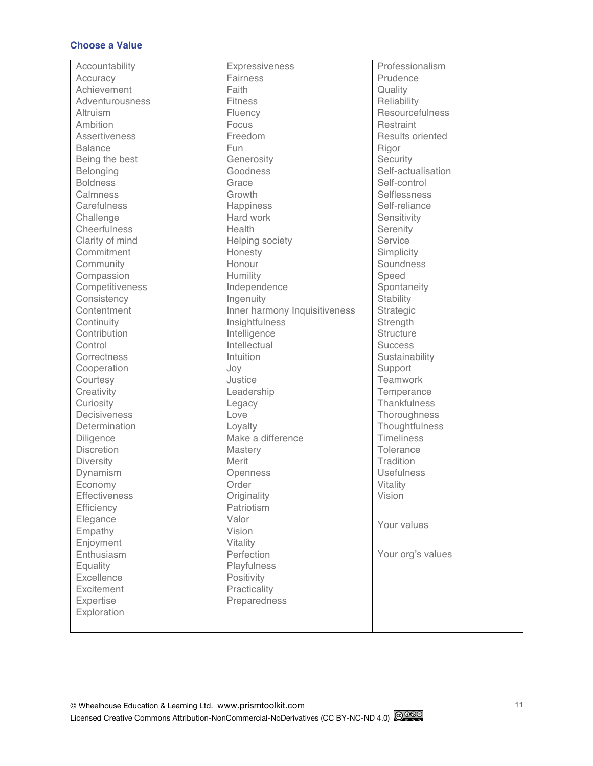# **Choose a Value**

| Accountability       | Expressiveness                | Professionalism     |
|----------------------|-------------------------------|---------------------|
| Accuracy             | Fairness                      | Prudence            |
| Achievement          | Faith                         | Quality             |
| Adventurousness      | <b>Fitness</b>                | Reliability         |
| Altruism             | Fluency                       | Resourcefulness     |
| Ambition             | Focus                         | Restraint           |
| <b>Assertiveness</b> | Freedom                       | Results oriented    |
| <b>Balance</b>       | Fun                           | Rigor               |
| Being the best       | Generosity                    | Security            |
| Belonging            | Goodness                      | Self-actualisation  |
| <b>Boldness</b>      | Grace                         | Self-control        |
| Calmness             | Growth                        | Selflessness        |
| Carefulness          | Happiness                     | Self-reliance       |
| Challenge            | Hard work                     | Sensitivity         |
| Cheerfulness         | Health                        | Serenity            |
| Clarity of mind      | Helping society               | Service             |
| Commitment           | Honesty                       | Simplicity          |
| Community            | Honour                        | Soundness           |
| Compassion           | Humility                      | Speed               |
| Competitiveness      | Independence                  | Spontaneity         |
| Consistency          | Ingenuity                     | <b>Stability</b>    |
| Contentment          | Inner harmony Inquisitiveness | Strategic           |
| Continuity           | Insightfulness                | Strength            |
| Contribution         | Intelligence                  | <b>Structure</b>    |
| Control              | Intellectual                  | <b>Success</b>      |
| Correctness          | Intuition                     | Sustainability      |
| Cooperation          | Joy                           | Support             |
| Courtesy             | Justice                       | Teamwork            |
| Creativity           | Leadership                    | Temperance          |
| Curiosity            | Legacy                        | <b>Thankfulness</b> |
| Decisiveness         | Love                          | Thoroughness        |
| Determination        | Loyalty                       | Thoughtfulness      |
| Diligence            | Make a difference             | <b>Timeliness</b>   |
| <b>Discretion</b>    | Mastery                       | Tolerance           |
| <b>Diversity</b>     | Merit                         | Tradition           |
| Dynamism             | Openness                      | <b>Usefulness</b>   |
| Economy              | Order                         | Vitality            |
| <b>Effectiveness</b> | Originality                   | Vision              |
| Efficiency           | Patriotism                    |                     |
| Elegance             | Valor                         | Your values         |
| Empathy              | Vision                        |                     |
| Enjoyment            | Vitality                      |                     |
| Enthusiasm           | Perfection                    | Your org's values   |
| Equality             | Playfulness                   |                     |
| Excellence           | Positivity                    |                     |
| Excitement           | Practicality                  |                     |
| Expertise            | Preparedness                  |                     |
| Exploration          |                               |                     |
|                      |                               |                     |